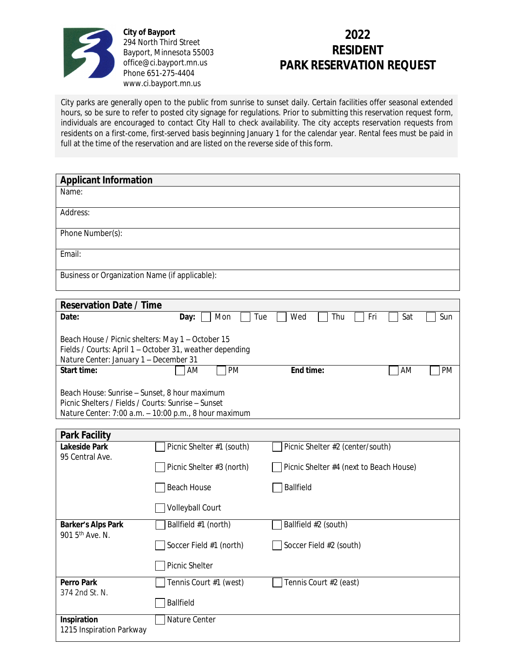

**City of Bayport** 294 North Third Street Bayport, Minnesota 55003 office@ci.bayport.mn.us Phone 651-275-4404 www.ci.bayport.mn.us

## **2022 RESIDENT PARK RESERVATION REQUEST**

City parks are generally open to the public from sunrise to sunset daily. Certain facilities offer seasonal extended hours, so be sure to refer to posted city signage for regulations. Prior to submitting this reservation request form, individuals are encouraged to contact City Hall to check availability. The city accepts reservation requests from residents on a first-come, first-served basis beginning January 1 for the calendar year. Rental fees must be paid in full at the time of the reservation and are listed on the reverse side of this form.

| <b>Applicant Information</b>                                                                         |                                                          |                                         |                 |  |  |
|------------------------------------------------------------------------------------------------------|----------------------------------------------------------|-----------------------------------------|-----------------|--|--|
| Name:                                                                                                |                                                          |                                         |                 |  |  |
| Address:                                                                                             |                                                          |                                         |                 |  |  |
| Phone Number(s):                                                                                     |                                                          |                                         |                 |  |  |
| Email:                                                                                               |                                                          |                                         |                 |  |  |
| Business or Organization Name (if applicable):                                                       |                                                          |                                         |                 |  |  |
|                                                                                                      |                                                          |                                         |                 |  |  |
| <b>Reservation Date / Time</b>                                                                       |                                                          |                                         |                 |  |  |
| Date:                                                                                                | Mon<br>Tue<br>Day:                                       | Fri<br>Wed<br>Thu                       | Sat<br>Sun      |  |  |
| Beach House / Picnic shelters: May 1 - October 15<br>Nature Center: January 1 - December 31          | Fields / Courts: April 1 - October 31, weather depending |                                         |                 |  |  |
| <b>Start time:</b>                                                                                   | <b>PM</b><br>AM                                          | End time:                               | AM<br><b>PM</b> |  |  |
| Beach House: Sunrise - Sunset, 8 hour maximum<br>Picnic Shelters / Fields / Courts: Sunrise – Sunset | Nature Center: 7:00 a.m. - 10:00 p.m., 8 hour maximum    |                                         |                 |  |  |
| <b>Park Facility</b>                                                                                 |                                                          |                                         |                 |  |  |
| <b>Lakeside Park</b>                                                                                 | Picnic Shelter #1 (south)                                | Picnic Shelter #2 (center/south)        |                 |  |  |
| 95 Central Ave.                                                                                      | Picnic Shelter #3 (north)                                | Picnic Shelter #4 (next to Beach House) |                 |  |  |
|                                                                                                      | <b>Beach House</b>                                       | <b>Ballfield</b>                        |                 |  |  |
|                                                                                                      | Volleyball Court                                         |                                         |                 |  |  |
| <b>Barker's Alps Park</b><br>901 5 <sup>th</sup> Ave. N.                                             | Ballfield #1 (north)                                     | Ballfield #2 (south)                    |                 |  |  |
|                                                                                                      | Soccer Field #1 (north)                                  | Soccer Field #2 (south)                 |                 |  |  |
|                                                                                                      | Picnic Shelter                                           |                                         |                 |  |  |
| <b>Perro Park</b><br>374 2nd St. N.                                                                  | Tennis Court #1 (west)                                   | Tennis Court #2 (east)                  |                 |  |  |
|                                                                                                      | <b>Ballfield</b>                                         |                                         |                 |  |  |
| Inspiration<br>1215 Inspiration Parkway                                                              | Nature Center                                            |                                         |                 |  |  |